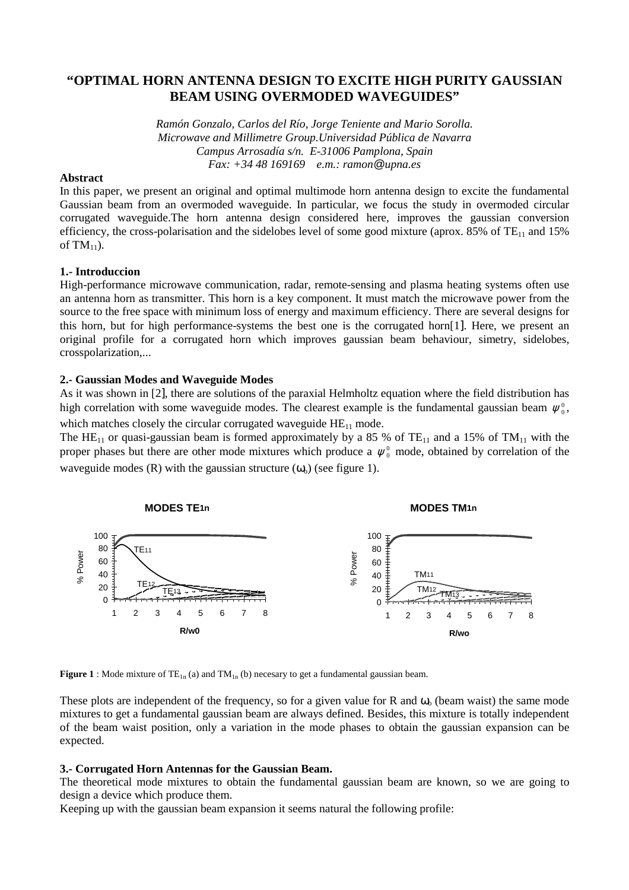# **"OPTIMAL HORN ANTENNA DESIGN TO EXCITE HIGH PURITY GAUSSIAN BEAM USING OVERMODED WAVEGUIDES"**

*Ramón Gonzalo, Carlos del Río, Jorge Teniente and Mario Sorolla. Microwave and Millimetre Group.Universidad Pública de Navarra Campus Arrosadía s/n. E-31006 Pamplona, Spain Fax: +34 48 169169 e.m.: ramon@upna.es*

# **Abstract**

In this paper, we present an original and optimal multimode horn antenna design to excite the fundamental Gaussian beam from an overmoded waveguide. In particular, we focus the study in overmoded circular corrugated waveguide.The horn antenna design considered here, improves the gaussian conversion efficiency, the cross-polarisation and the sidelobes level of some good mixture (aprox. 85% of  $TE_{11}$  and 15% of  $TM_{11}$ ).

# **1.- Introduccion**

High-performance microwave communication, radar, remote-sensing and plasma heating systems often use an antenna horn as transmitter. This horn is a key component. It must match the microwave power from the source to the free space with minimum loss of energy and maximum efficiency. There are several designs for this horn, but for high performance-systems the best one is the corrugated horn[1]. Here, we present an original profile for a corrugated horn which improves gaussian beam behaviour, simetry, sidelobes, crosspolarization,...

# **2.- Gaussian Modes and Waveguide Modes**

As it was shown in [2], there are solutions of the paraxial Helmholtz equation where the field distribution has high correlation with some waveguide modes. The clearest example is the fundamental gaussian beam  $\psi_0^0$ , which matches closely the circular corrugated waveguide  $HE_{11}$  mode.

The HE<sub>11</sub> or quasi-gaussian beam is formed approximately by a 85 % of TE<sub>11</sub> and a 15% of TM<sub>11</sub> with the proper phases but there are other mode mixtures which produce a  $\psi_0^0$  mode, obtained by correlation of the waveguide modes (R) with the gaussian structure  $(\omega_0)$  (see figure 1).



**Figure 1** : Mode mixture of  $TE_{1n}$  (a) and  $TM_{1n}$  (b) necesary to get a fundamental gaussian beam.

These plots are independent of the frequency, so for a given value for R and  $\omega_0$  (beam waist) the same mode mixtures to get a fundamental gaussian beam are always defined. Besides, this mixture is totally independent of the beam waist position, only a variation in the mode phases to obtain the gaussian expansion can be expected.

# **3.- Corrugated Horn Antennas for the Gaussian Beam.**

The theoretical mode mixtures to obtain the fundamental gaussian beam are known, so we are going to design a device which produce them.

Keeping up with the gaussian beam expansion it seems natural the following profile: